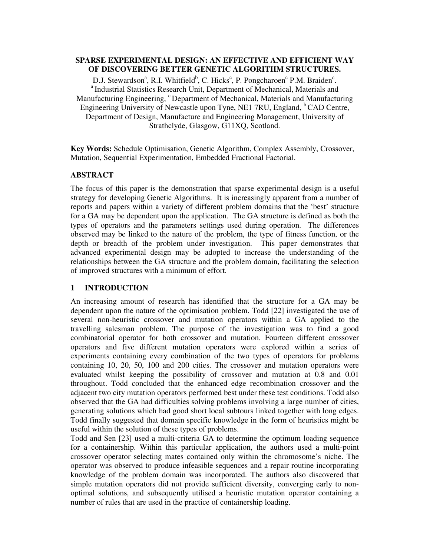# **SPARSE EXPERIMENTAL DESIGN: AN EFFECTIVE AND EFFICIENT WAY OF DISCOVERING BETTER GENETIC ALGORITHM STRUCTURES.**

D.J. Stewardson<sup>a</sup>, R.I. Whitfield<sup>b</sup>, C. Hicks<sup>c</sup>, P. Pongcharoen<sup>c</sup> P.M. Braiden<sup>c</sup>. <sup>a</sup> Industrial Statistics Research Unit, Department of Mechanical, Materials and Manufacturing Engineering, <sup>c</sup>Department of Mechanical, Materials and Manufacturing Engineering University of Newcastle upon Tyne, NE1 7RU, England, <sup>b</sup>CAD Centre, Department of Design, Manufacture and Engineering Management, University of Strathclyde, Glasgow, G11XQ, Scotland.

**Key Words:** Schedule Optimisation, Genetic Algorithm, Complex Assembly, Crossover, Mutation, Sequential Experimentation, Embedded Fractional Factorial.

### **ABSTRACT**

The focus of this paper is the demonstration that sparse experimental design is a useful strategy for developing Genetic Algorithms. It is increasingly apparent from a number of reports and papers within a variety of different problem domains that the 'best' structure for a GA may be dependent upon the application. The GA structure is defined as both the types of operators and the parameters settings used during operation. The differences observed may be linked to the nature of the problem, the type of fitness function, or the depth or breadth of the problem under investigation. This paper demonstrates that advanced experimental design may be adopted to increase the understanding of the relationships between the GA structure and the problem domain, facilitating the selection of improved structures with a minimum of effort.

### **1 INTRODUCTION**

An increasing amount of research has identified that the structure for a GA may be dependent upon the nature of the optimisation problem. Todd [22] investigated the use of several non-heuristic crossover and mutation operators within a GA applied to the travelling salesman problem. The purpose of the investigation was to find a good combinatorial operator for both crossover and mutation. Fourteen different crossover operators and five different mutation operators were explored within a series of experiments containing every combination of the two types of operators for problems containing 10, 20, 50, 100 and 200 cities. The crossover and mutation operators were evaluated whilst keeping the possibility of crossover and mutation at 0.8 and 0.01 throughout. Todd concluded that the enhanced edge recombination crossover and the adjacent two city mutation operators performed best under these test conditions. Todd also observed that the GA had difficulties solving problems involving a large number of cities, generating solutions which had good short local subtours linked together with long edges. Todd finally suggested that domain specific knowledge in the form of heuristics might be useful within the solution of these types of problems.

Todd and Sen [23] used a multi-criteria GA to determine the optimum loading sequence for a containership. Within this particular application, the authors used a multi-point crossover operator selecting mates contained only within the chromosome's niche. The operator was observed to produce infeasible sequences and a repair routine incorporating knowledge of the problem domain was incorporated. The authors also discovered that simple mutation operators did not provide sufficient diversity, converging early to nonoptimal solutions, and subsequently utilised a heuristic mutation operator containing a number of rules that are used in the practice of containership loading.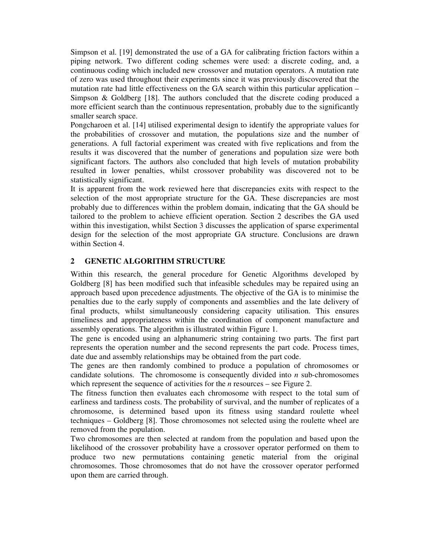Simpson et al. [19] demonstrated the use of a GA for calibrating friction factors within a piping network. Two different coding schemes were used: a discrete coding, and, a continuous coding which included new crossover and mutation operators. A mutation rate of zero was used throughout their experiments since it was previously discovered that the mutation rate had little effectiveness on the GA search within this particular application – Simpson & Goldberg [18]. The authors concluded that the discrete coding produced a more efficient search than the continuous representation, probably due to the significantly smaller search space.

Pongcharoen et al. [14] utilised experimental design to identify the appropriate values for the probabilities of crossover and mutation, the populations size and the number of generations. A full factorial experiment was created with five replications and from the results it was discovered that the number of generations and population size were both significant factors. The authors also concluded that high levels of mutation probability resulted in lower penalties, whilst crossover probability was discovered not to be statistically significant.

It is apparent from the work reviewed here that discrepancies exits with respect to the selection of the most appropriate structure for the GA. These discrepancies are most probably due to differences within the problem domain, indicating that the GA should be tailored to the problem to achieve efficient operation. Section 2 describes the GA used within this investigation, whilst Section 3 discusses the application of sparse experimental design for the selection of the most appropriate GA structure. Conclusions are drawn within Section 4.

# **2 GENETIC ALGORITHM STRUCTURE**

Within this research, the general procedure for Genetic Algorithms developed by Goldberg [8] has been modified such that infeasible schedules may be repaired using an approach based upon precedence adjustments*.* The objective of the GA is to minimise the penalties due to the early supply of components and assemblies and the late delivery of final products, whilst simultaneously considering capacity utilisation. This ensures timeliness and appropriateness within the coordination of component manufacture and assembly operations. The algorithm is illustrated within Figure 1.

The gene is encoded using an alphanumeric string containing two parts. The first part represents the operation number and the second represents the part code. Process times, date due and assembly relationships may be obtained from the part code.

The genes are then randomly combined to produce a population of chromosomes or candidate solutions. The chromosome is consequently divided into *n* sub-chromosomes which represent the sequence of activities for the *n* resources – see Figure 2.

The fitness function then evaluates each chromosome with respect to the total sum of earliness and tardiness costs. The probability of survival, and the number of replicates of a chromosome, is determined based upon its fitness using standard roulette wheel techniques – Goldberg [8]. Those chromosomes not selected using the roulette wheel are removed from the population.

Two chromosomes are then selected at random from the population and based upon the likelihood of the crossover probability have a crossover operator performed on them to produce two new permutations containing genetic material from the original chromosomes. Those chromosomes that do not have the crossover operator performed upon them are carried through.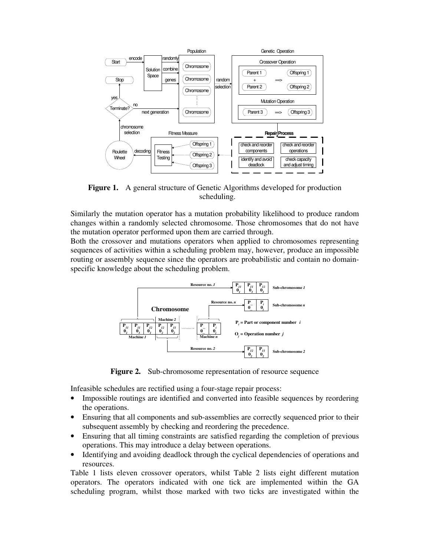

**Figure 1.** A general structure of Genetic Algorithms developed for production scheduling.

Similarly the mutation operator has a mutation probability likelihood to produce random changes within a randomly selected chromosome. Those chromosomes that do not have the mutation operator performed upon them are carried through.

Both the crossover and mutations operators when applied to chromosomes representing sequences of activities within a scheduling problem may, however, produce an impossible routing or assembly sequence since the operators are probabilistic and contain no domainspecific knowledge about the scheduling problem.



Figure 2. Sub-chromosome representation of resource sequence

Infeasible schedules are rectified using a four-stage repair process:

- Impossible routings are identified and converted into feasible sequences by reordering the operations.
- Ensuring that all components and sub-assemblies are correctly sequenced prior to their subsequent assembly by checking and reordering the precedence.
- Ensuring that all timing constraints are satisfied regarding the completion of previous operations. This may introduce a delay between operations.
- Identifying and avoiding deadlock through the cyclical dependencies of operations and resources.

Table 1 lists eleven crossover operators, whilst Table 2 lists eight different mutation operators. The operators indicated with one tick are implemented within the GA scheduling program, whilst those marked with two ticks are investigated within the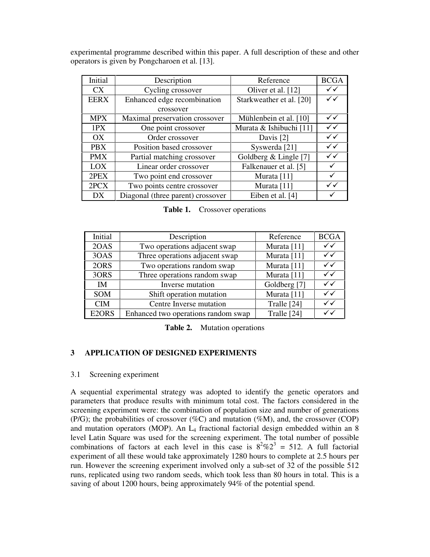experimental programme described within this paper. A full description of these and other operators is given by Pongcharoen et al. [13].

| Initial     | Description                       | Reference                | <b>BCGA</b>  |
|-------------|-----------------------------------|--------------------------|--------------|
| <b>CX</b>   | Cycling crossover                 | Oliver et al. [12]       | $\checkmark$ |
| <b>EERX</b> | Enhanced edge recombination       | Starkweather et al. [20] | $\checkmark$ |
|             | crossover                         |                          |              |
| <b>MPX</b>  | Maximal preservation crossover    | Mühlenbein et al. [10]   | $\checkmark$ |
| 1PX         | One point crossover               | Murata & Ishibuchi [11]  | $\checkmark$ |
| OX          | Order crossover                   | Davis [2]                | $\checkmark$ |
| <b>PBX</b>  | Position based crossover          | Syswerda <sup>[21]</sup> | $\checkmark$ |
| <b>PMX</b>  | Partial matching crossover        | Goldberg $&$ Lingle [7]  | $\checkmark$ |
| LOX         | Linear order crossover            | Falkenauer et al. [5]    |              |
| 2PEX        | Two point end crossover           | Murata [11]              |              |
| 2PCX        | Two points centre crossover       | Murata [11]              | ✓✓           |
| DX          | Diagonal (three parent) crossover | Eiben et al. [4]         |              |

**Table 1.** Crossover operations

| Initial    | Description                         | Reference    | <b>BCGA</b>  |
|------------|-------------------------------------|--------------|--------------|
| 2OAS       | Two operations adjacent swap        | Murata [11]  | ✓✓           |
| 3OAS       | Three operations adjacent swap      | Murata [11]  | $\checkmark$ |
| 2ORS       | Two operations random swap          | Murata [11]  | $\checkmark$ |
| 3ORS       | Three operations random swap        | Murata [11]  | $\checkmark$ |
| IM         | Inverse mutation                    | Goldberg [7] | ✓✓           |
| <b>SOM</b> | Shift operation mutation            | Murata [11]  | $\checkmark$ |
| <b>CIM</b> | Centre Inverse mutation             | Tralle [24]  | $\checkmark$ |
| E2ORS      | Enhanced two operations random swap | Tralle [24]  | $\checkmark$ |

**Table 2.** Mutation operations

### **3 APPLICATION OF DESIGNED EXPERIMENTS**

3.1 Screening experiment

A sequential experimental strategy was adopted to identify the genetic operators and parameters that produce results with minimum total cost. The factors considered in the screening experiment were: the combination of population size and number of generations (P/G); the probabilities of crossover (%C) and mutation (%M), and, the crossover (COP) and mutation operators (MOP). An  $L_4$  fractional factorial design embedded within an 8 level Latin Square was used for the screening experiment. The total number of possible combinations of factors at each level in this case is  $8^2\%2^3 = 512$ . A full factorial experiment of all these would take approximately 1280 hours to complete at 2.5 hours per run. However the screening experiment involved only a sub-set of 32 of the possible 512 runs, replicated using two random seeds, which took less than 80 hours in total. This is a saving of about 1200 hours, being approximately 94% of the potential spend.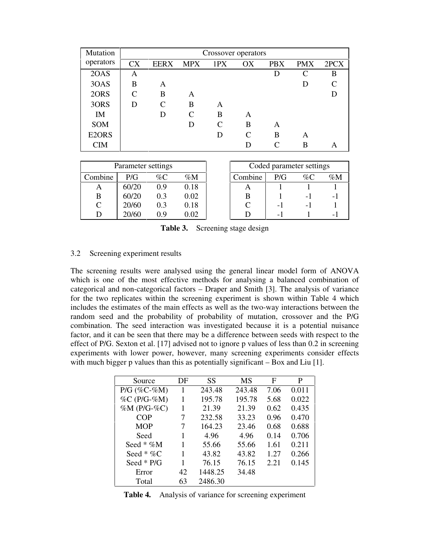| Mutation   | Crossover operators         |               |            |                             |    |            |            |      |  |  |
|------------|-----------------------------|---------------|------------|-----------------------------|----|------------|------------|------|--|--|
| operators  | <b>CX</b>                   | <b>EERX</b>   | <b>MPX</b> | 1PX                         | OX | <b>PBX</b> | <b>PMX</b> | 2PCX |  |  |
| 2OAS       | A                           |               |            |                             |    | D          | C          | B    |  |  |
| 3OAS       | B                           | A             |            |                             |    |            | D          |      |  |  |
| 2ORS       | $\mathcal{C}_{\mathcal{C}}$ | B             | A          |                             |    |            |            |      |  |  |
| 3ORS       | D                           | $\mathcal{C}$ | B          | A                           |    |            |            |      |  |  |
| IM         |                             | D             | C          | B                           | A  |            |            |      |  |  |
| <b>SOM</b> |                             |               | D          | $\mathcal{C}_{\mathcal{C}}$ | B  | A          |            |      |  |  |
| E2ORS      |                             |               |            | D                           | C  | B          | A          |      |  |  |
| <b>CIM</b> |                             |               |            |                             | D  |            | В          | A    |  |  |

|         | Parameter settings |       |       |            | Coded parameter settings |    |                          |
|---------|--------------------|-------|-------|------------|--------------------------|----|--------------------------|
| Combine | P/G                | $\%C$ | $\%M$ | Combine    | P/G                      | %C | $\%M$                    |
| A       | 60/20              | 0.9   | 0.18  | $\sqrt{ }$ |                          |    |                          |
| B       | 60/20              | 0.3   | 0.02  |            |                          | -  | $\overline{\phantom{0}}$ |
| C       | 20/60              | 0.3   | 0.18  |            | -                        | -  |                          |
|         | 20/60              | 0.9   | 0.02  |            | -                        |    | $\overline{\phantom{0}}$ |

| Parameter settings |     |       |         | Coded parameter settings |       |                          |
|--------------------|-----|-------|---------|--------------------------|-------|--------------------------|
| P/G                | %C  | $\%M$ | Combine | P/G                      | % $C$ | $\%M$                    |
| 60/20              | 0 ዓ | 0.18  |         |                          |       |                          |
| 60/20              | 0.3 | 0.02  | B       |                          |       | $\overline{\phantom{0}}$ |
| 20/60              | 03  | 0.18  |         | $\overline{\phantom{0}}$ | - 1   |                          |
| 20/60              |     | ന     |         |                          |       |                          |

**Table 3.** Screening stage design

## 3.2 Screening experiment results

The screening results were analysed using the general linear model form of ANOVA which is one of the most effective methods for analysing a balanced combination of categorical and non-categorical factors – Draper and Smith [3]. The analysis of variance for the two replicates within the screening experiment is shown within Table 4 which includes the estimates of the main effects as well as the two-way interactions between the random seed and the probability of probability of mutation, crossover and the P/G combination. The seed interaction was investigated because it is a potential nuisance factor, and it can be seen that there may be a difference between seeds with respect to the effect of P/G. Sexton et al. [17] advised not to ignore p values of less than 0.2 in screening experiments with lower power, however, many screening experiments consider effects with much bigger p values than this as potentially significant – Box and Liu [1].

| Source              | DF | SS      | MS     | F    | P     |
|---------------------|----|---------|--------|------|-------|
| $P/G$ (%C-%M)       | 1  | 243.48  | 243.48 | 7.06 | 0.011 |
| $\%C$ (P/G- $\%M$ ) | 1  | 195.78  | 195.78 | 5.68 | 0.022 |
| $%M(P/G-%C)$        | 1  | 21.39   | 21.39  | 0.62 | 0.435 |
| COP                 | 7  | 232.58  | 33.23  | 0.96 | 0.470 |
| <b>MOP</b>          | 7  | 164.23  | 23.46  | 0.68 | 0.688 |
| Seed                |    | 4.96    | 4.96   | 0.14 | 0.706 |
| Seed * $\%M$        |    | 55.66   | 55.66  | 1.61 | 0.211 |
| Seed * $\%C$        |    | 43.82   | 43.82  | 1.27 | 0.266 |
| Seed $*$ P/G        |    | 76.15   | 76.15  | 2.21 | 0.145 |
| Error               | 42 | 1448.25 | 34.48  |      |       |
| Total               | 63 | 2486.30 |        |      |       |

**Table 4.** Analysis of variance for screening experiment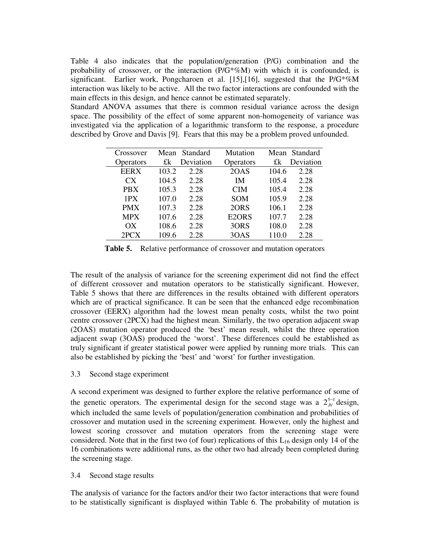Table 4 also indicates that the population/generation (P/G) combination and the probability of crossover, or the interaction  $(P/G^* \%M)$  with which it is confounded, is significant. Earlier work, Pongcharoen et al. [15],[16], suggested that the P/G\*%M interaction was likely to be active. All the two factor interactions are confounded with the main effects in this design, and hence cannot be estimated separately.

Standard ANOVA assumes that there is common residual variance across the design space. The possibility of the effect of some apparent non-homogeneity of variance was investigated via the application of a logarithmic transform to the response, a procedure described by Grove and Davis [9]. Fears that this may be a problem proved unfounded.

| Crossover        |       | Mean Standard | Mutation           |       | Mean Standard |
|------------------|-------|---------------|--------------------|-------|---------------|
| <b>Operators</b> | £k    | Deviation     | Operators          | £k    | Deviation     |
| <b>EERX</b>      | 103.2 | 2.28          | 2OAS               | 104.6 | 2.28          |
| CX               | 104.5 | 2.28          | IΜ                 | 105.4 | 2.28          |
| <b>PBX</b>       | 105.3 | 2.28          | <b>CIM</b>         | 105.4 | 2.28          |
| 1PX              | 107.0 | 2.28          | <b>SOM</b>         | 105.9 | 2.28          |
| <b>PMX</b>       | 107.3 | 2.28          | 2ORS               | 106.1 | 2.28          |
| <b>MPX</b>       | 107.6 | 2.28          | E <sub>2</sub> ORS | 107.7 | 2.28          |
| OX               | 108.6 | 2.28          | 3ORS               | 108.0 | 2.28          |
| 2PCX             | 109.6 | 2.28          | 3OAS               | 110.0 | 2.28          |

**Table 5.** Relative performance of crossover and mutation operators

The result of the analysis of variance for the screening experiment did not find the effect of different crossover and mutation operators to be statistically significant. However, Table 5 shows that there are differences in the results obtained with different operators which are of practical significance. It can be seen that the enhanced edge recombination crossover (EERX) algorithm had the lowest mean penalty costs, whilst the two point centre crossover (2PCX) had the highest mean. Similarly, the two operation adjacent swap (2OAS) mutation operator produced the 'best' mean result, whilst the three operation adjacent swap (3OAS) produced the 'worst'. These differences could be established as truly significant if greater statistical power were applied by running more trials. This can also be established by picking the 'best' and 'worst' for further investigation.

### 3.3 Second stage experiment

A second experiment was designed to further explore the relative performance of some of the genetic operators. The experimental design for the second stage was a  $2<sub>N</sub><sup>5-1</sup>$  $_V^{-1}$  design, which included the same levels of population/generation combination and probabilities of crossover and mutation used in the screening experiment. However, only the highest and lowest scoring crossover and mutation operators from the screening stage were considered. Note that in the first two (of four) replications of this  $L_{16}$  design only 14 of the 16 combinations were additional runs, as the other two had already been completed during the screening stage.

### 3.4 Second stage results

The analysis of variance for the factors and/or their two factor interactions that were found to be statistically significant is displayed within Table 6. The probability of mutation is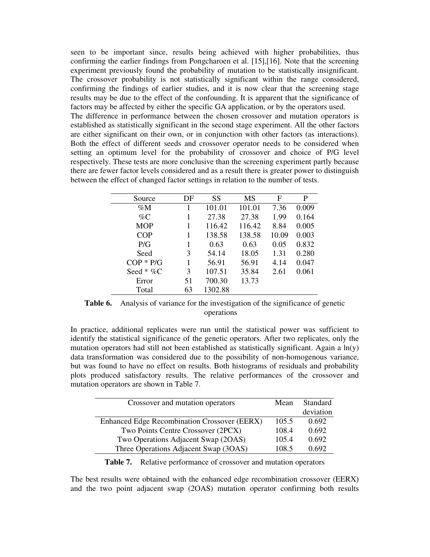seen to be important since, results being achieved with higher probabilities, thus confirming the earlier findings from Pongcharoen et al. [15],[16]. Note that the screening experiment previously found the probability of mutation to be statistically insignificant. The crossover probability is not statistically significant within the range considered, confirming the findings of earlier studies, and it is now clear that the screening stage results may be due to the effect of the confounding. It is apparent that the significance of factors may be affected by either the specific GA application, or by the operators used.

The difference in performance between the chosen crossover and mutation operators is established as statistically significant in the second stage experiment. All the other factors are either significant on their own, or in conjunction with other factors (as interactions). Both the effect of different seeds and crossover operator needs to be considered when setting an optimum level for the probability of crossover and choice of P/G level respectively. These tests are more conclusive than the screening experiment partly because there are fewer factor levels considered and as a result there is greater power to distinguish between the effect of changed factor settings in relation to the number of tests.

| Source       | DF | SS      | <b>MS</b> | F     | P     |
|--------------|----|---------|-----------|-------|-------|
| $\%M$        |    | 101.01  | 101.01    | 7.36  | 0.009 |
| $\%C$        |    | 27.38   | 27.38     | 1.99  | 0.164 |
| <b>MOP</b>   | 1  | 116.42  | 116.42    | 8.84  | 0.005 |
| <b>COP</b>   |    | 138.58  | 138.58    | 10.09 | 0.003 |
| P/G          | 1  | 0.63    | 0.63      | 0.05  | 0.832 |
| Seed         | 3  | 54.14   | 18.05     | 1.31  | 0.280 |
| $COP * P/G$  | 1  | 56.91   | 56.91     | 4.14  | 0.047 |
| Seed $* \%C$ | 3  | 107.51  | 35.84     | 2.61  | 0.061 |
| Error        | 51 | 700.30  | 13.73     |       |       |
| Total        | 63 | 1302.88 |           |       |       |

**Table 6.** Analysis of variance for the investigation of the significance of genetic operations

In practice, additional replicates were run until the statistical power was sufficient to identify the statistical significance of the genetic operators. After two replicates, only the mutation operators had still not been established as statistically significant. Again a ln(y) data transformation was considered due to the possibility of non-homogenous variance, but was found to have no effect on results. Both histograms of residuals and probability plots produced satisfactory results. The relative performances of the crossover and mutation operators are shown in Table 7.

| Crossover and mutation operators                    | Mean  | Standard  |
|-----------------------------------------------------|-------|-----------|
|                                                     |       | deviation |
| <b>Enhanced Edge Recombination Crossover (EERX)</b> | 105.5 | 0.692     |
| Two Points Centre Crossover (2PCX)                  | 108.4 | 0.692     |
| Two Operations Adjacent Swap (2OAS)                 | 105.4 | 0.692     |
| Three Operations Adjacent Swap (3OAS)               | 1085  | 0.692     |

**Table 7.** Relative performance of crossover and mutation operators

The best results were obtained with the enhanced edge recombination crossover (EERX) and the two point adjacent swap (2OAS) mutation operator confirming both results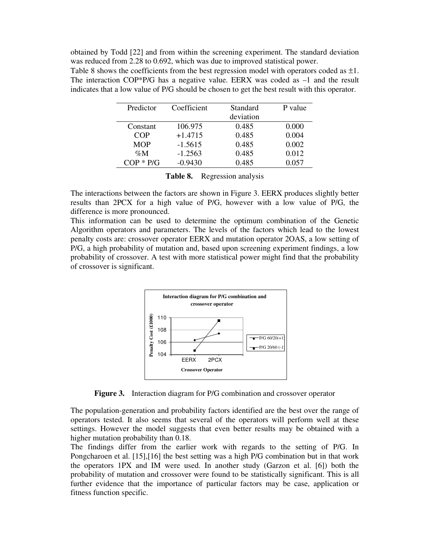obtained by Todd [22] and from within the screening experiment. The standard deviation was reduced from 2.28 to 0.692, which was due to improved statistical power.

Table 8 shows the coefficients from the best regression model with operators coded as  $\pm 1$ . The interaction COP\*P/G has a negative value. EERX was coded as  $-1$  and the result indicates that a low value of P/G should be chosen to get the best result with this operator.

| Predictor   | Coefficient | Standard  | P value |
|-------------|-------------|-----------|---------|
|             |             | deviation |         |
| Constant    | 106.975     | 0.485     | 0.000   |
| COP         | $+1.4715$   | 0.485     | 0.004   |
| <b>MOP</b>  | $-1.5615$   | 0.485     | 0.002   |
| $\%M$       | $-1.2563$   | 0.485     | 0.012   |
| $COP * P/G$ | $-0.9430$   | 0.485     | 0.057   |

| Table 8.<br>Regression analysis |  |
|---------------------------------|--|
|---------------------------------|--|

The interactions between the factors are shown in Figure 3. EERX produces slightly better results than 2PCX for a high value of P/G, however with a low value of P/G, the difference is more pronounced.

This information can be used to determine the optimum combination of the Genetic Algorithm operators and parameters. The levels of the factors which lead to the lowest penalty costs are: crossover operator EERX and mutation operator 2OAS, a low setting of P/G, a high probability of mutation and, based upon screening experiment findings, a low probability of crossover. A test with more statistical power might find that the probability of crossover is significant.



**Figure 3.** Interaction diagram for P/G combination and crossover operator

The population-generation and probability factors identified are the best over the range of operators tested. It also seems that several of the operators will perform well at these settings. However the model suggests that even better results may be obtained with a higher mutation probability than 0.18.

The findings differ from the earlier work with regards to the setting of P/G. In Pongcharoen et al. [15],[16] the best setting was a high P/G combination but in that work the operators 1PX and IM were used. In another study (Garzon et al. [6]) both the probability of mutation and crossover were found to be statistically significant. This is all further evidence that the importance of particular factors may be case, application or fitness function specific.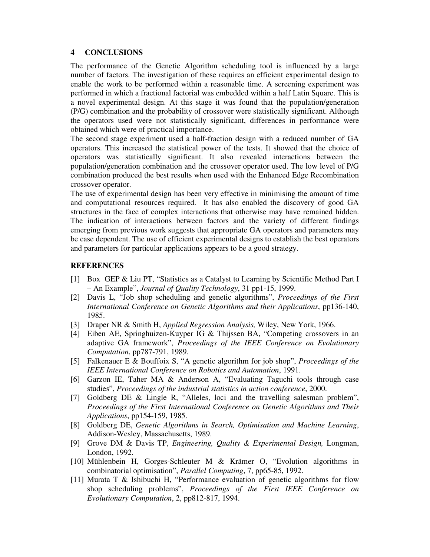### **4 CONCLUSIONS**

The performance of the Genetic Algorithm scheduling tool is influenced by a large number of factors. The investigation of these requires an efficient experimental design to enable the work to be performed within a reasonable time. A screening experiment was performed in which a fractional factorial was embedded within a half Latin Square. This is a novel experimental design. At this stage it was found that the population/generation (P/G) combination and the probability of crossover were statistically significant. Although the operators used were not statistically significant, differences in performance were obtained which were of practical importance.

The second stage experiment used a half-fraction design with a reduced number of GA operators. This increased the statistical power of the tests. It showed that the choice of operators was statistically significant. It also revealed interactions between the population/generation combination and the crossover operator used. The low level of P/G combination produced the best results when used with the Enhanced Edge Recombination crossover operator.

The use of experimental design has been very effective in minimising the amount of time and computational resources required. It has also enabled the discovery of good GA structures in the face of complex interactions that otherwise may have remained hidden. The indication of interactions between factors and the variety of different findings emerging from previous work suggests that appropriate GA operators and parameters may be case dependent. The use of efficient experimental designs to establish the best operators and parameters for particular applications appears to be a good strategy.

### **REFERENCES**

- [1] Box GEP & Liu PT, "Statistics as a Catalyst to Learning by Scientific Method Part I – An Example", *Journal of Quality Technology*, 31 pp1-15, 1999.
- [2] Davis L, "Job shop scheduling and genetic algorithms", *Proceedings of the First International Conference on Genetic Algorithms and their Applications*, pp136-140, 1985.
- [3] Draper NR & Smith H, *Applied Regression Analysis,* Wiley, New York, 1966.
- [4] Eiben AE, Springhuizen-Kuyper IG & Thijssen BA, "Competing crossovers in an adaptive GA framework", *Proceedings of the IEEE Conference on Evolutionary Computation*, pp787-791, 1989.
- [5] Falkenauer E & Bouffoix S, "A genetic algorithm for job shop", *Proceedings of the IEEE International Conference on Robotics and Automation*, 1991.
- [6] Garzon IE, Taher MA & Anderson A, "Evaluating Taguchi tools through case studies", *Proceedings of the industrial statistics in action conference*, 2000.
- [7] Goldberg DE & Lingle R, "Alleles, loci and the travelling salesman problem", *Proceedings of the First International Conference on Genetic Algorithms and Their Applications*, pp154-159, 1985.
- [8] Goldberg DE, *Genetic Algorithms in Search, Optimisation and Machine Learning*, Addison-Wesley, Massachusetts, 1989.
- [9] Grove DM & Davis TP, *Engineering, Quality & Experimental Design,* Longman, London, 1992.
- [10] Mühlenbein H, Gorges-Schleuter M & Krämer O, "Evolution algorithms in combinatorial optimisation", *Parallel Computing*, 7, pp65-85, 1992.
- [11] Murata T & Ishibuchi H, "Performance evaluation of genetic algorithms for flow shop scheduling problems", *Proceedings of the First IEEE Conference on Evolutionary Computation*, 2, pp812-817, 1994.